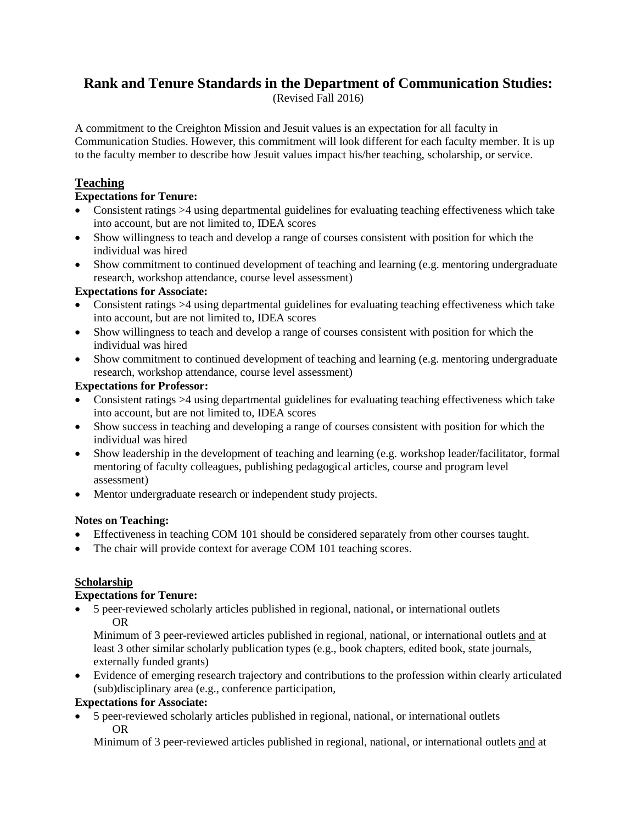# **Rank and Tenure Standards in the Department of Communication Studies:**

(Revised Fall 2016)

A commitment to the Creighton Mission and Jesuit values is an expectation for all faculty in Communication Studies. However, this commitment will look different for each faculty member. It is up to the faculty member to describe how Jesuit values impact his/her teaching, scholarship, or service.

## **Teaching**

#### **Expectations for Tenure:**

- Consistent ratings >4 using departmental guidelines for evaluating teaching effectiveness which take into account, but are not limited to, IDEA scores
- Show willingness to teach and develop a range of courses consistent with position for which the individual was hired
- Show commitment to continued development of teaching and learning (e.g. mentoring undergraduate research, workshop attendance, course level assessment)

#### **Expectations for Associate:**

- Consistent ratings >4 using departmental guidelines for evaluating teaching effectiveness which take into account, but are not limited to, IDEA scores
- Show willingness to teach and develop a range of courses consistent with position for which the individual was hired
- Show commitment to continued development of teaching and learning (e.g. mentoring undergraduate research, workshop attendance, course level assessment)

#### **Expectations for Professor:**

- Consistent ratings >4 using departmental guidelines for evaluating teaching effectiveness which take into account, but are not limited to, IDEA scores
- Show success in teaching and developing a range of courses consistent with position for which the individual was hired
- Show leadership in the development of teaching and learning (e.g. workshop leader/facilitator, formal mentoring of faculty colleagues, publishing pedagogical articles, course and program level assessment)
- Mentor undergraduate research or independent study projects.

#### **Notes on Teaching:**

- Effectiveness in teaching COM 101 should be considered separately from other courses taught.
- The chair will provide context for average COM 101 teaching scores.

#### **Scholarship**

#### **Expectations for Tenure:**

• 5 peer-reviewed scholarly articles published in regional, national, or international outlets OR

Minimum of 3 peer-reviewed articles published in regional, national, or international outlets and at least 3 other similar scholarly publication types (e.g., book chapters, edited book, state journals, externally funded grants)

• Evidence of emerging research trajectory and contributions to the profession within clearly articulated (sub)disciplinary area (e.g., conference participation,

#### **Expectations for Associate:**

• 5 peer-reviewed scholarly articles published in regional, national, or international outlets OR

Minimum of 3 peer-reviewed articles published in regional, national, or international outlets and at